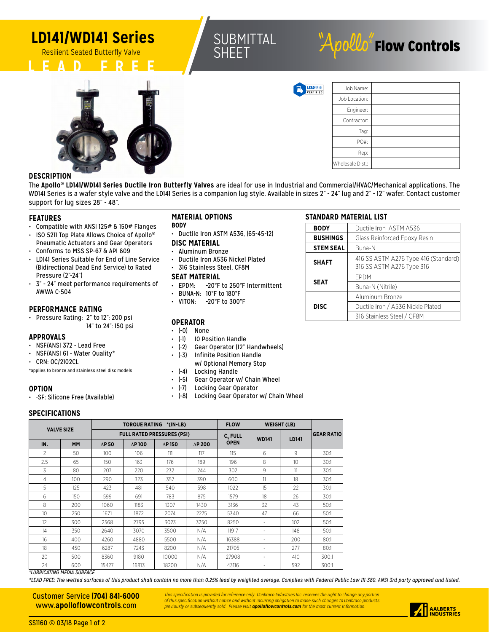## **LD141/WD141 Series**





# $A$ pollo $\check{\ }$  Flow Controls



**LEAD**FREE<br>CERTIFIED

**STANDARD MATERIAL LIST**

**STEM SEAL** Buna-N

**SEAT**

**DISC**

**BODY Ductile Iron ASTM A536 BUSHINGS** Glass Reinforced Epoxy Resin

EPDM

**SHAFT** 416 SS ASTM A276 Type 416 (Standard) 316 SS ASTM A276 Type 316

Buna-N (Nitrile)

Aluminum Bronze

Ductile Iron / A536 Nickle Plated 316 Stainless Steel / CF8M

| Job Name:        |  |
|------------------|--|
| Job Location:    |  |
| Engineer:        |  |
| Contractor:      |  |
| Tag:             |  |
| PO#:             |  |
| Rep:             |  |
| Wholesale Dist.: |  |

## **DESCRIPTION**

The **Apollo® LD141/WD141 Series Ductile Iron Butterfly Valves** are ideal for use in Industrial and Commercial/HVAC/Mechanical applications. The WDI41 Series is a wafer style valve and the LDI41 Series is a companion lug style. Available in sizes 2" - 24" lug and 2" - 12" wafer. Contact customer support for lug sizes 28" - 48".

### **FEATURES**

- Compatible with ANSI 125# & 150# Flanges
- ISO 5211 Top Plate Allows Choice of Apollo<sup>®</sup> Pneumatic Actuators and Gear Operators
- Conforms to MSS SP-67 & API 609 • LD141 Series Suitable for End of Line Service
- (Bidirectional Dead End Service) to Rated Pressure (2"-24")
- 3" 24" meet performance requirements of AWWA C-504

## **PERFORMANCE RATING**

• Pressure Rating: 2" to 12": 200 psi 14" to 24": 150 psi

## **APPROVALS**

- NSF/ANSI 372 Lead Free
- NSF/ANSI 61 Water Quality\*
- CRN: OC/2102CL

\*applies to bronze and stainless steel disc models

## **OPTION**

• -SF: Silicone Free (Available)

## **MATERIAL OPTIONS**

#### **BODY**

• Ductile Iron ASTM A536, (65-45-12)

### **DISC MATERIAL**

- Aluminum Bronze
- Ductile Iron A536 Nickel Plated • 316 Stainless Steel, CF8M

## **SEAT MATERIAL**

- EPDM: -20°F to 250°F Intermittent
- BUNA-N: 10°F to 180°F
- VITON: -20°F to 300°F

## **OPERATOR**

- (-0) None
- (-1) 10 Position Handle
- (-2) Gear Operator (12" Handwheels)
- (-3) Infinite Position Handle w/ Optional Memory Stop
- (-4) Locking Handle
- (-5) Gear Operator w/ Chain Wheel
- (-7) Locking Gear Operator
- (-8) Locking Gear Operator w/ Chain Wheel

## **SPECIFICATIONS**

| <b>VALVE SIZE</b> |           |                          |                | TORQUE RATING *(IN-LB)            |                | <b>FLOW</b>         | <b>WEIGHT (LB)</b> |       |                   |  |
|-------------------|-----------|--------------------------|----------------|-----------------------------------|----------------|---------------------|--------------------|-------|-------------------|--|
|                   |           |                          |                | <b>FULL RATED PRESSURES (PSI)</b> |                | C <sub>v</sub> FULL | <b>WD141</b>       | LD141 | <b>GEAR RATIO</b> |  |
| IN.               | <b>MM</b> | $\Delta$ P <sub>50</sub> | $\Delta$ P 100 | $\Delta$ P 150                    | $\Delta$ P 200 | <b>OPEN</b>         |                    |       |                   |  |
| $\mathfrak{D}$    | 50        | 100                      | 106            | 111                               | 117            | 115                 | 6                  | 9     | 30:1              |  |
| 2.5               | 65        | 150                      | 163            | 176                               | 189            | 196                 | 8                  | 10    | 30:1              |  |
| 3                 | 80        | 207                      | 220            | 232                               | 244            | 302                 | 9                  | 11    | 30:1              |  |
| 4                 | 100       | 290                      | 323            | 357<br>390                        |                | 600                 | 11                 | 18    | 30:1              |  |
| 5                 | 125       | 423                      | 481            | 540                               | 598<br>1022    |                     | 15                 | 22    | 30:1              |  |
| 6                 | $150 -$   | 599                      | 691            | 783                               | 875            | 1579                | 18                 | 26    | 30:1              |  |
| 8                 | 200       | 1060                     | 1183           | 1307                              | 1430           | 3136                | 32                 | 43    | 50:1              |  |
| 10                | 250       | 1671                     | 1872           | 2074                              | 2275           | 5340                | 47                 | 66    | 50:1              |  |
| 12                | 300       | 2568                     | 2795           | 3023                              | 3250           | 8250                |                    | 102   | 50:1              |  |
| 14                | 350       | 2640                     | 3070           | 3500                              | N/A            | 11917               |                    | 148   | 50:1              |  |
| 16                | 400       | 4260                     | 4880           | 5500                              | N/A            | 16388               |                    | 200   | 80:1              |  |
| 18                | 450       | 6287                     | 7243           | 8200                              | N/A            | 21705               |                    | 277   | 80:1              |  |
| 20                | 500       | 8360                     | 9180           | 10000                             | N/A            | 27908               | ٠                  | 410   | 300:1             |  |
| 24                | 600       | 15427<br>16813<br>18200  |                | N/A                               | 43116          |                     | 592                | 300:1 |                   |  |

*\*LUBRICATING MEDIA SURFACE*

*\*LEAD FREE: The wetted surfaces of this product shall contain no more than 0.25% lead by weighted average. Complies with Federal Public Law 111-380. ANSI 3rd party approved and listed.*

Customer Service **(704) 841-6000** www.**apolloflowcontrols**.com

This specification is provided for reference only. Conbraco Industries Inc. reserves the right to change any portion<br>of this specification without notice and without incurring obligation to make such changes to Conbraco pr *previously or subsequently sold. Please visit apolloflowcontrols.com for the most current information.*